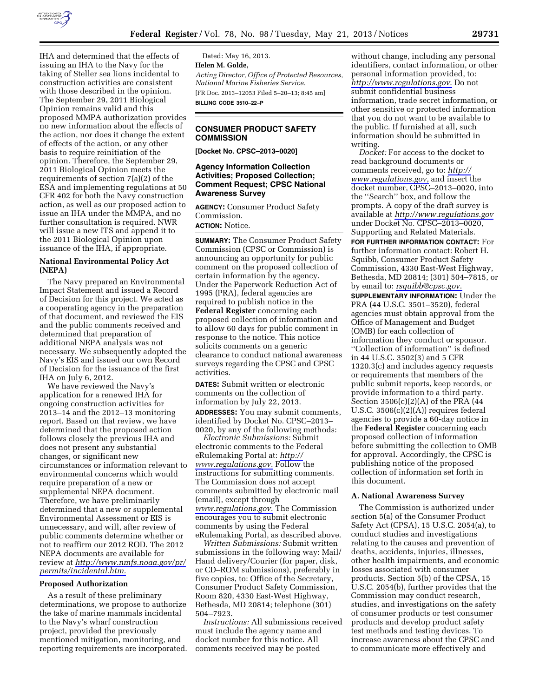

IHA and determined that the effects of issuing an IHA to the Navy for the taking of Steller sea lions incidental to construction activities are consistent with those described in the opinion. The September 29, 2011 Biological Opinion remains valid and this proposed MMPA authorization provides no new information about the effects of the action, nor does it change the extent of effects of the action, or any other basis to require reinitiation of the opinion. Therefore, the September 29, 2011 Biological Opinion meets the requirements of section 7(a)(2) of the ESA and implementing regulations at 50 CFR 402 for both the Navy construction action, as well as our proposed action to issue an IHA under the MMPA, and no further consultation is required. NWR will issue a new ITS and append it to the 2011 Biological Opinion upon issuance of the IHA, if appropriate.

# **National Environmental Policy Act (NEPA)**

The Navy prepared an Environmental Impact Statement and issued a Record of Decision for this project. We acted as a cooperating agency in the preparation of that document, and reviewed the EIS and the public comments received and determined that preparation of additional NEPA analysis was not necessary. We subsequently adopted the Navy's EIS and issued our own Record of Decision for the issuance of the first IHA on July 6, 2012.

We have reviewed the Navy's application for a renewed IHA for ongoing construction activities for 2013–14 and the 2012–13 monitoring report. Based on that review, we have determined that the proposed action follows closely the previous IHA and does not present any substantial changes, or significant new circumstances or information relevant to environmental concerns which would require preparation of a new or supplemental NEPA document. Therefore, we have preliminarily determined that a new or supplemental Environmental Assessment or EIS is unnecessary, and will, after review of public comments determine whether or not to reaffirm our 2012 ROD. The 2012 NEPA documents are available for review at *[http://www.nmfs.noaa.gov/pr/](http://www.nmfs.noaa.gov/pr/permits/incidental.htm) [permits/incidental.htm.](http://www.nmfs.noaa.gov/pr/permits/incidental.htm)* 

### **Proposed Authorization**

As a result of these preliminary determinations, we propose to authorize the take of marine mammals incidental to the Navy's wharf construction project, provided the previously mentioned mitigation, monitoring, and reporting requirements are incorporated.

Dated: May 16, 2013. **Helen M. Golde,**  *Acting Director, Office of Protected Resources, National Marine Fisheries Service.*  [FR Doc. 2013–12053 Filed 5–20–13; 8:45 am] **BILLING CODE 3510–22–P** 

## **CONSUMER PRODUCT SAFETY COMMISSION**

**[Docket No. CPSC–2013–0020]** 

## **Agency Information Collection Activities; Proposed Collection; Comment Request; CPSC National Awareness Survey**

**AGENCY:** Consumer Product Safety Commission. **ACTION:** Notice.

**SUMMARY:** The Consumer Product Safety Commission (CPSC or Commission) is announcing an opportunity for public comment on the proposed collection of certain information by the agency. Under the Paperwork Reduction Act of 1995 (PRA), federal agencies are required to publish notice in the **Federal Register** concerning each proposed collection of information and to allow 60 days for public comment in response to the notice. This notice solicits comments on a generic clearance to conduct national awareness surveys regarding the CPSC and CPSC activities.

**DATES:** Submit written or electronic comments on the collection of information by July 22, 2013. **ADDRESSES:** You may submit comments, identified by Docket No. CPSC–2013– 0020, by any of the following methods:

*Electronic Submissions:* Submit electronic comments to the Federal eRulemaking Portal at: *[http://](http://www.regulations.gov) [www.regulations.gov](http://www.regulations.gov)*. Follow the instructions for submitting comments. The Commission does not accept comments submitted by electronic mail (email), except through *[www.regulations.gov](http://www.regulations.gov)*. The Commission encourages you to submit electronic comments by using the Federal eRulemaking Portal, as described above.

*Written Submissions:* Submit written submissions in the following way: Mail/ Hand delivery/Courier (for paper, disk, or CD–ROM submissions), preferably in five copies, to: Office of the Secretary, Consumer Product Safety Commission, Room 820, 4330 East-West Highway, Bethesda, MD 20814; telephone (301) 504–7923.

*Instructions:* All submissions received must include the agency name and docket number for this notice. All comments received may be posted

without change, including any personal identifiers, contact information, or other personal information provided, to: *<http://www.regulations.gov>*. Do not submit confidential business information, trade secret information, or other sensitive or protected information that you do not want to be available to the public. If furnished at all, such information should be submitted in writing.

*Docket:* For access to the docket to read background documents or comments received, go to: *[http://](http://www.regulations.gov) [www.regulations.gov,](http://www.regulations.gov)* and insert the docket number, CPSC–2013–0020, into the ''Search'' box, and follow the prompts. A copy of the draft survey is available at *<http://www.regulations.gov>* under Docket No. CPSC–2013–0020, Supporting and Related Materials.

**FOR FURTHER INFORMATION CONTACT:** For further information contact: Robert H. Squibb, Consumer Product Safety Commission, 4330 East-West Highway, Bethesda, MD 20814; (301) 504–7815, or by email to: *[rsquibb@cpsc.gov](mailto:rsquibb@cpsc.gov)*.

**SUPPLEMENTARY INFORMATION:** Under the PRA (44 U.S.C. 3501–3520), federal agencies must obtain approval from the Office of Management and Budget (OMB) for each collection of information they conduct or sponsor. ''Collection of information'' is defined in 44 U.S.C. 3502(3) and 5 CFR 1320.3(c) and includes agency requests or requirements that members of the public submit reports, keep records, or provide information to a third party. Section 3506(c)(2)(A) of the PRA (44 U.S.C. 3506(c)(2)(A)) requires federal agencies to provide a 60-day notice in the **Federal Register** concerning each proposed collection of information before submitting the collection to OMB for approval. Accordingly, the CPSC is publishing notice of the proposed collection of information set forth in this document.

### **A. National Awareness Survey**

The Commission is authorized under section 5(a) of the Consumer Product Safety Act (CPSA), 15 U.S.C. 2054(a), to conduct studies and investigations relating to the causes and prevention of deaths, accidents, injuries, illnesses, other health impairments, and economic losses associated with consumer products. Section 5(b) of the CPSA, 15 U.S.C. 2054(b), further provides that the Commission may conduct research, studies, and investigations on the safety of consumer products or test consumer products and develop product safety test methods and testing devices. To increase awareness about the CPSC and to communicate more effectively and